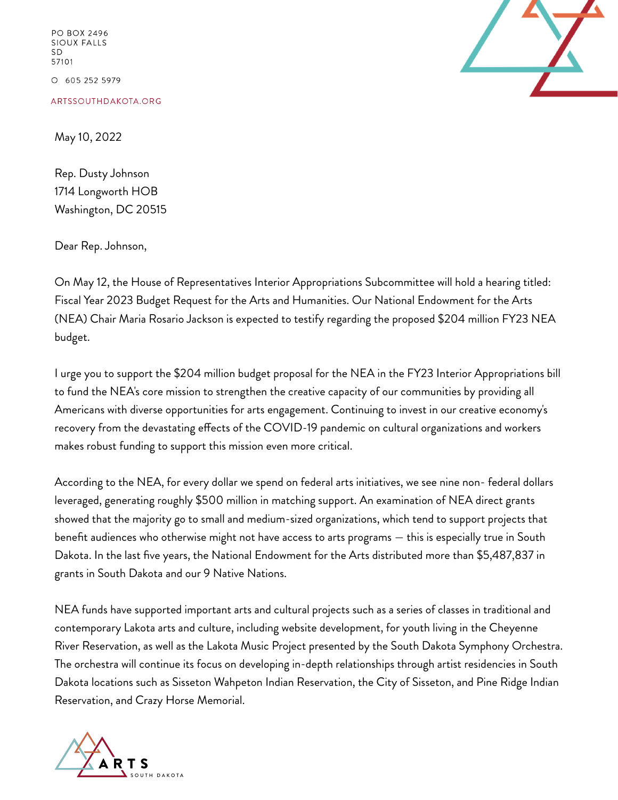PO BOX 2496 **SIOUX FALLS SD** 57101 O 605 252 5979

ARTSSOUTHDAKOTA.ORG

May 10, 2022

Rep. Dusty Johnson 1714 Longworth HOB Washington, DC 20515

Dear Rep. Johnson,

On May 12, the House of Representatives Interior Appropriations Subcommittee will hold a hearing titled: Fiscal Year 2023 Budget Request for the Arts and Humanities. Our National Endowment for the Arts (NEA) Chair Maria Rosario Jackson is expected to testify regarding the proposed \$204 million FY23 NEA budget.

I urge you to support the \$204 million budget proposal for the NEA in the FY23 Interior Appropriations bill to fund the NEA's core mission to strengthen the creative capacity of our communities by providing all Americans with diverse opportunities for arts engagement. Continuing to invest in our creative economy's recovery from the devastating effects of the COVID-19 pandemic on cultural organizations and workers makes robust funding to support this mission even more critical.

According to the NEA, for every dollar we spend on federal arts initiatives, we see nine non- federal dollars leveraged, generating roughly \$500 million in matching support. An examination of NEA direct grants showed that the majority go to small and medium-sized organizations, which tend to support projects that benefit audiences who otherwise might not have access to arts programs — this is especially true in South Dakota. In the last five years, the National Endowment for the Arts distributed more than \$5,487,837 in grants in South Dakota and our 9 Native Nations.

NEA funds have supported important arts and cultural projects such as a series of classes in traditional and contemporary Lakota arts and culture, including website development, for youth living in the Cheyenne River Reservation, as well as the Lakota Music Project presented by the South Dakota Symphony Orchestra. The orchestra will continue its focus on developing in-depth relationships through artist residencies in South Dakota locations such as Sisseton Wahpeton Indian Reservation, the City of Sisseton, and Pine Ridge Indian Reservation, and Crazy Horse Memorial.